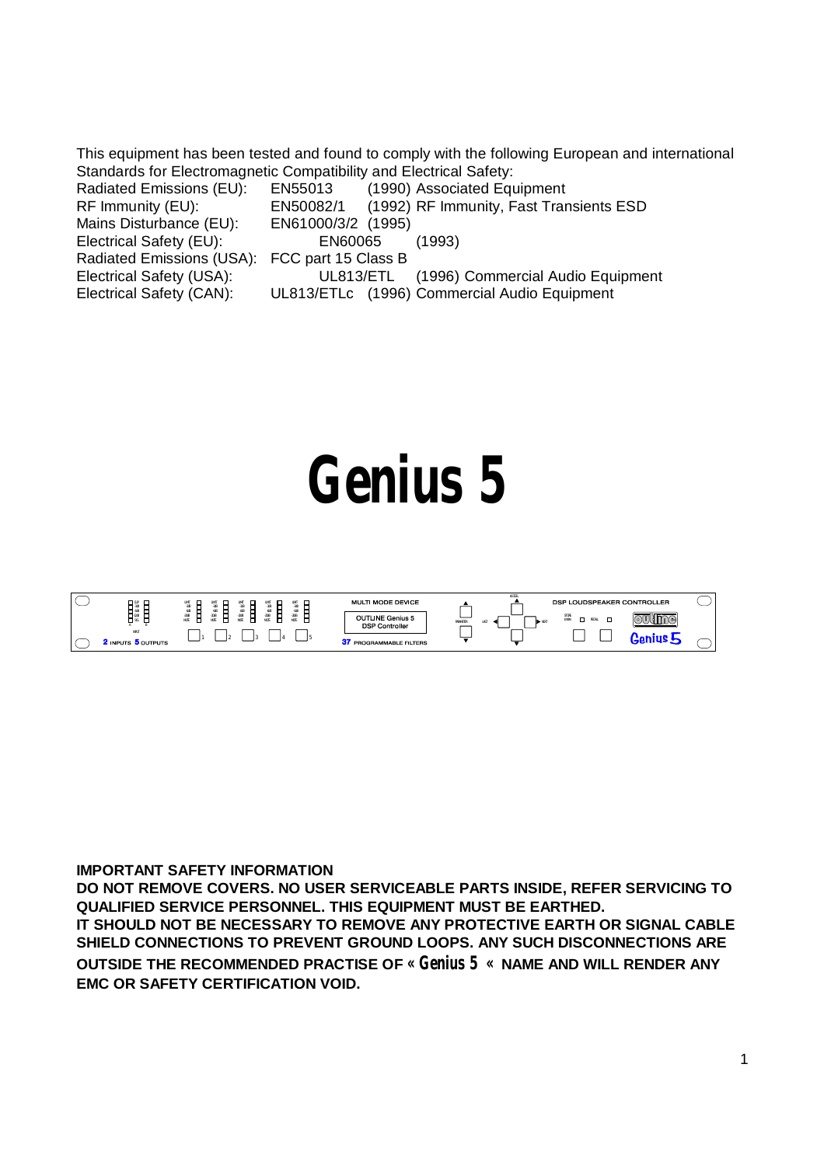This equipment has been tested and found to comply with the following European and international Standards for Electromagnetic Compatibility and Electrical Safety:

| EN55013<br>Radiated Emissions (EU):<br>(1990) Associated Equipment         |  |
|----------------------------------------------------------------------------|--|
| (1992) RF Immunity, Fast Transients ESD<br>EN50082/1<br>RF Immunity (EU):  |  |
| EN61000/3/2 (1995)<br>Mains Disturbance (EU):                              |  |
| Electrical Safety (EU):<br>(1993)<br>EN60065                               |  |
| Radiated Emissions (USA): FCC part 15 Class B                              |  |
| Electrical Safety (USA):<br>(1996) Commercial Audio Equipment<br>UL813/ETL |  |
| Electrical Safety (CAN):<br>UL813/ETLc (1996) Commercial Audio Equipment   |  |

# **Genius 5**



**IMPORTANT SAFETY INFORMATION**

**DO NOT REMOVE COVERS. NO USER SERVICEABLE PARTS INSIDE, REFER SERVICING TO QUALIFIED SERVICE PERSONNEL. THIS EQUIPMENT MUST BE EARTHED.**

**IT SHOULD NOT BE NECESSARY TO REMOVE ANY PROTECTIVE EARTH OR SIGNAL CABLE SHIELD CONNECTIONS TO PREVENT GROUND LOOPS. ANY SUCH DISCONNECTIONS ARE OUTSIDE THE RECOMMENDED PRACTISE OF « Genius 5 « NAME AND WILL RENDER ANY EMC OR SAFETY CERTIFICATION VOID.**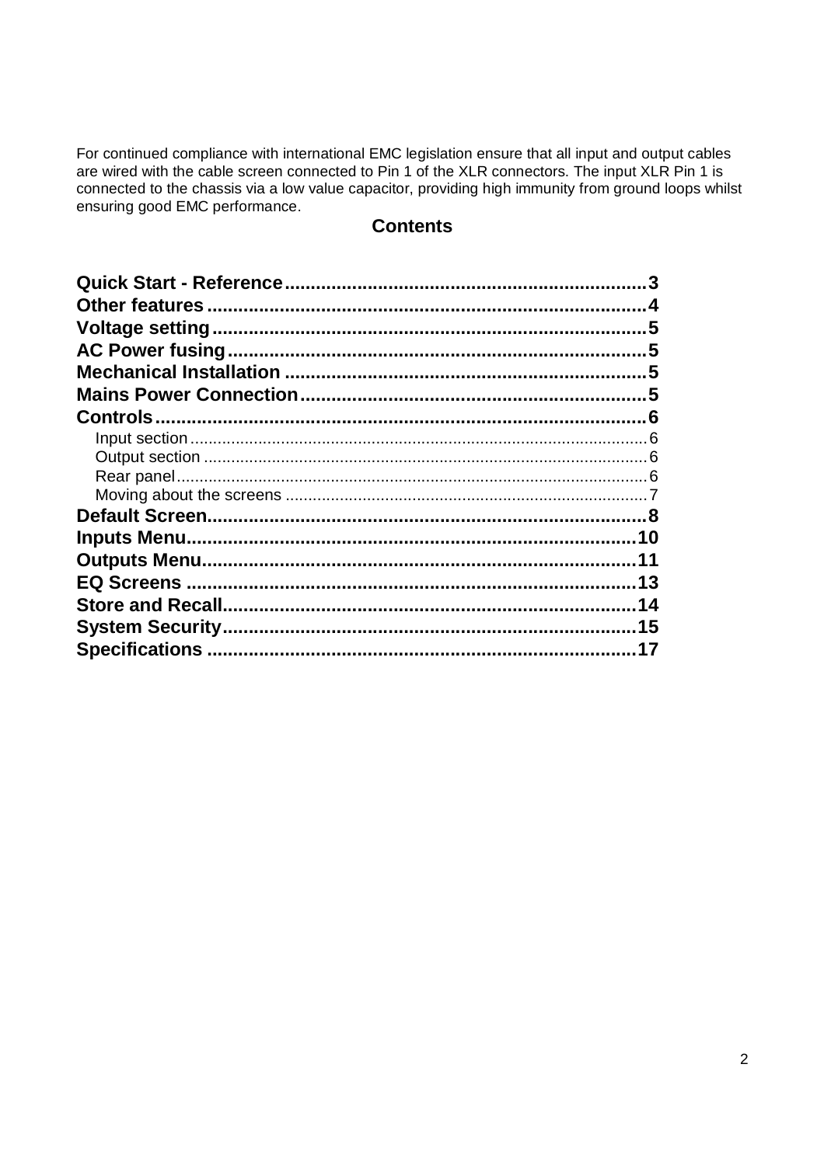For continued compliance with international EMC legislation ensure that all input and output cables are wired with the cable screen connected to Pin 1 of the XLR connectors. The input XLR Pin 1 is connected to the chassis via a low value capacitor, providing high immunity from ground loops whilst ensuring good EMC performance.

## **Contents**

| 5  |
|----|
|    |
|    |
|    |
|    |
|    |
|    |
|    |
|    |
|    |
| 10 |
| 11 |
| 13 |
| 14 |
| 15 |
| 17 |
|    |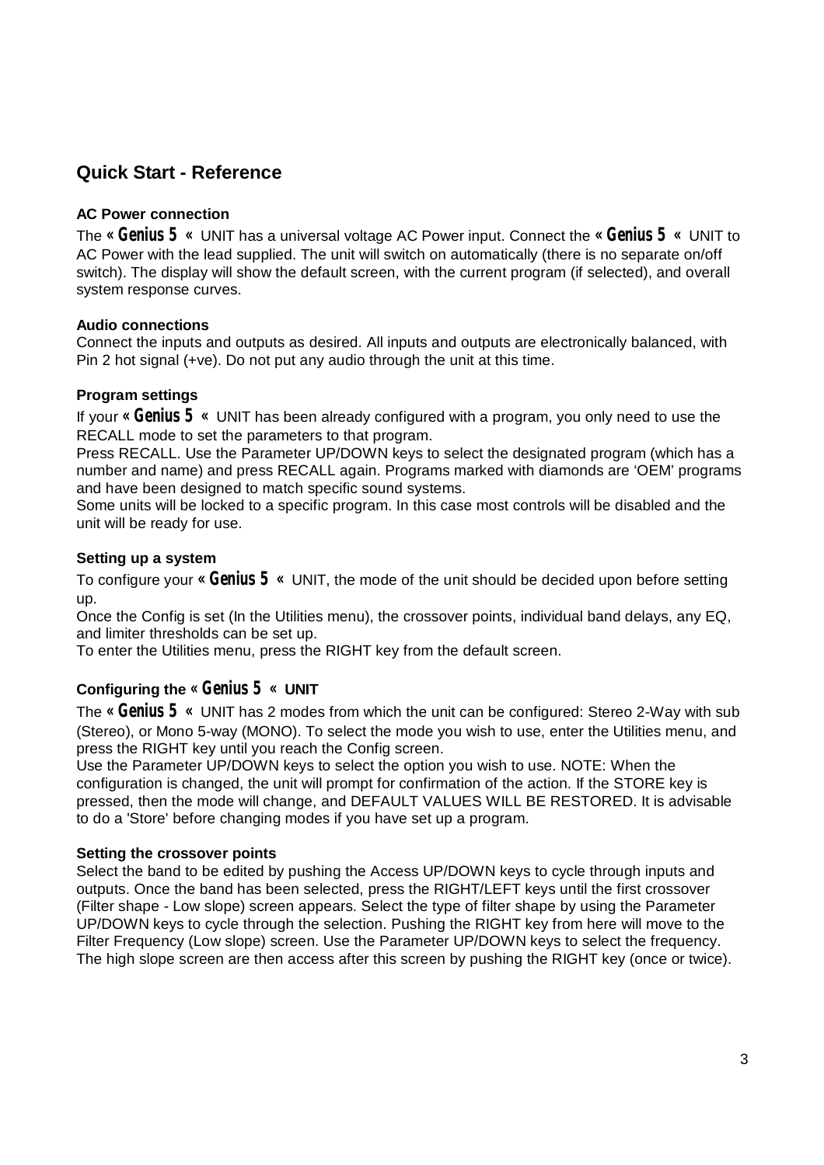## **Quick Start - Reference**

#### **AC Power connection**

The **« Genius 5 «** UNIT has a universal voltage AC Power input. Connect the **« Genius 5 «** UNIT to AC Power with the lead supplied. The unit will switch on automatically (there is no separate on/off switch). The display will show the default screen, with the current program (if selected), and overall system response curves.

#### **Audio connections**

Connect the inputs and outputs as desired. All inputs and outputs are electronically balanced, with Pin 2 hot signal (+ve). Do not put any audio through the unit at this time.

#### **Program settings**

If your **« Genius 5 «** UNIT has been already configured with a program, you only need to use the RECALL mode to set the parameters to that program.

Press RECALL. Use the Parameter UP/DOWN keys to select the designated program (which has a number and name) and press RECALL again. Programs marked with diamonds are 'OEM' programs and have been designed to match specific sound systems.

Some units will be locked to a specific program. In this case most controls will be disabled and the unit will be ready for use.

#### **Setting up a system**

To configure your **« Genius 5 «** UNIT, the mode of the unit should be decided upon before setting up.

Once the Config is set (In the Utilities menu), the crossover points, individual band delays, any EQ, and limiter thresholds can be set up.

To enter the Utilities menu, press the RIGHT key from the default screen.

#### **Configuring the « Genius 5 « UNIT**

The **« Genius 5 «** UNIT has 2 modes from which the unit can be configured: Stereo 2-Way with sub (Stereo), or Mono 5-way (MONO). To select the mode you wish to use, enter the Utilities menu, and press the RIGHT key until you reach the Config screen.

Use the Parameter UP/DOWN keys to select the option you wish to use. NOTE: When the configuration is changed, the unit will prompt for confirmation of the action. If the STORE key is pressed, then the mode will change, and DEFAULT VALUES WILL BE RESTORED. It is advisable to do a 'Store' before changing modes if you have set up a program.

#### **Setting the crossover points**

Select the band to be edited by pushing the Access UP/DOWN keys to cycle through inputs and outputs. Once the band has been selected, press the RIGHT/LEFT keys until the first crossover (Filter shape - Low slope) screen appears. Select the type of filter shape by using the Parameter UP/DOWN keys to cycle through the selection. Pushing the RIGHT key from here will move to the Filter Frequency (Low slope) screen. Use the Parameter UP/DOWN keys to select the frequency. The high slope screen are then access after this screen by pushing the RIGHT key (once or twice).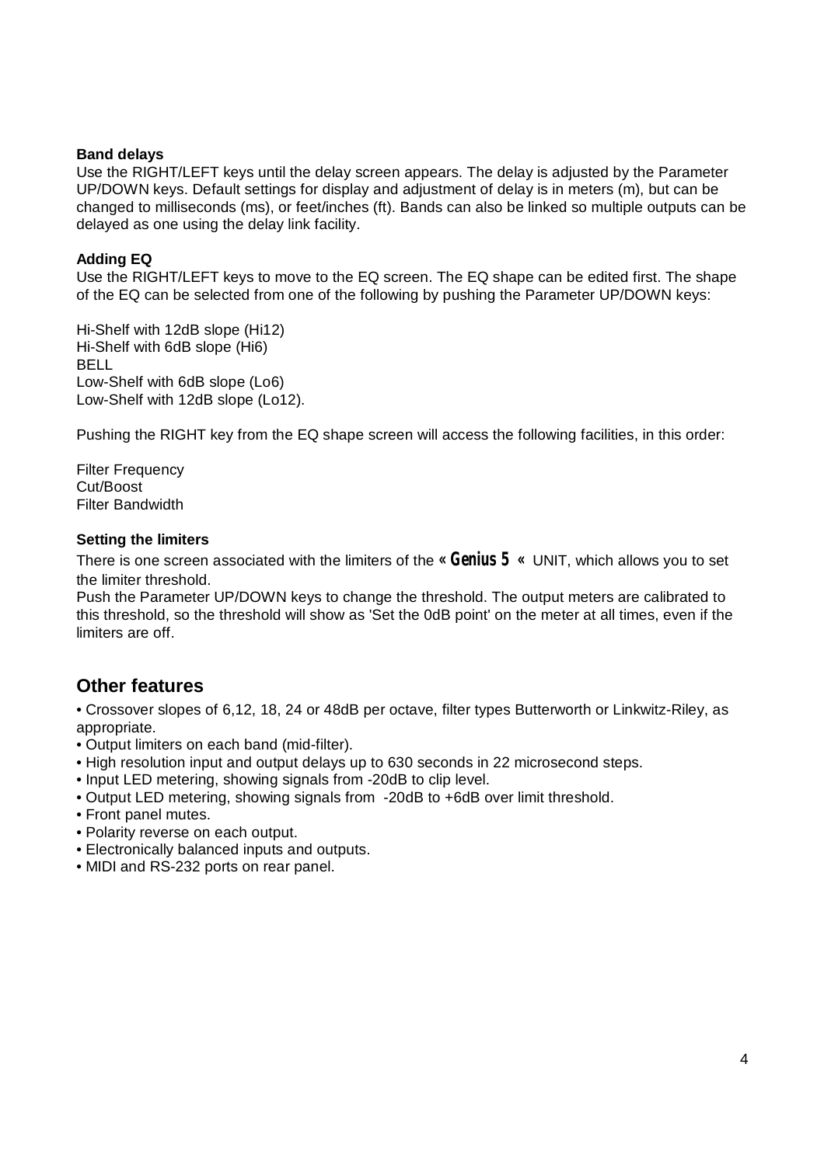#### **Band delays**

Use the RIGHT/LEFT keys until the delay screen appears. The delay is adjusted by the Parameter UP/DOWN keys. Default settings for display and adjustment of delay is in meters (m), but can be changed to milliseconds (ms), or feet/inches (ft). Bands can also be linked so multiple outputs can be delayed as one using the delay link facility.

#### **Adding EQ**

Use the RIGHT/LEFT keys to move to the EQ screen. The EQ shape can be edited first. The shape of the EQ can be selected from one of the following by pushing the Parameter UP/DOWN keys:

Hi-Shelf with 12dB slope (Hi12) Hi-Shelf with 6dB slope (Hi6) BELL Low-Shelf with 6dB slope (Lo6) Low-Shelf with 12dB slope (Lo12).

Pushing the RIGHT key from the EQ shape screen will access the following facilities, in this order:

Filter Frequency Cut/Boost Filter Bandwidth

#### **Setting the limiters**

There is one screen associated with the limiters of the **« Genius 5 «** UNIT, which allows you to set the limiter threshold.

Push the Parameter UP/DOWN keys to change the threshold. The output meters are calibrated to this threshold, so the threshold will show as 'Set the 0dB point' on the meter at all times, even if the limiters are off.

### **Other features**

• Crossover slopes of 6,12, 18, 24 or 48dB per octave, filter types Butterworth or Linkwitz-Riley, as appropriate.

- Output limiters on each band (mid-filter).
- High resolution input and output delays up to 630 seconds in 22 microsecond steps.
- Input LED metering, showing signals from -20dB to clip level.
- Output LED metering, showing signals from -20dB to +6dB over limit threshold.
- Front panel mutes.
- Polarity reverse on each output.
- Electronically balanced inputs and outputs.
- MIDI and RS-232 ports on rear panel.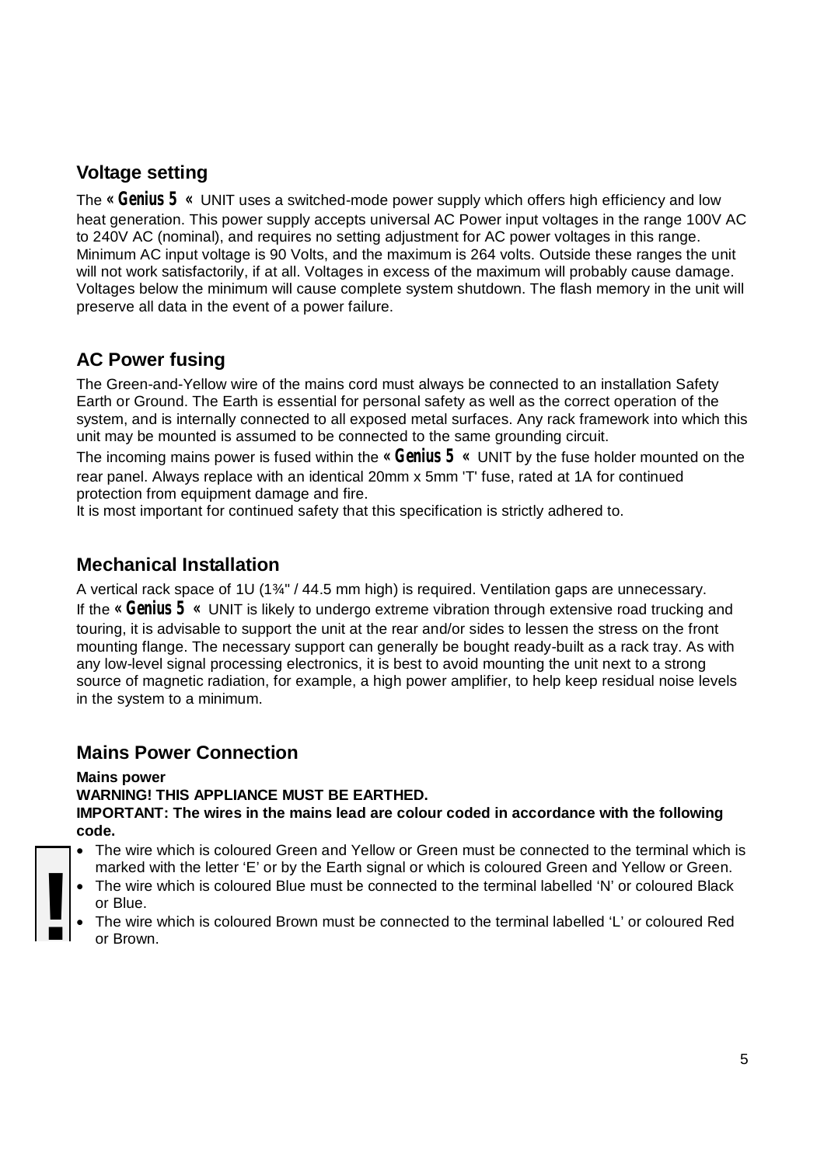## **Voltage setting**

The **« Genius 5 «** UNIT uses a switched-mode power supply which offers high efficiency and low heat generation. This power supply accepts universal AC Power input voltages in the range 100V AC to 240V AC (nominal), and requires no setting adjustment for AC power voltages in this range. Minimum AC input voltage is 90 Volts, and the maximum is 264 volts. Outside these ranges the unit will not work satisfactorily, if at all. Voltages in excess of the maximum will probably cause damage. Voltages below the minimum will cause complete system shutdown. The flash memory in the unit will preserve all data in the event of a power failure.

## **AC Power fusing**

The Green-and-Yellow wire of the mains cord must always be connected to an installation Safety Earth or Ground. The Earth is essential for personal safety as well as the correct operation of the system, and is internally connected to all exposed metal surfaces. Any rack framework into which this unit may be mounted is assumed to be connected to the same grounding circuit.

The incoming mains power is fused within the **« Genius 5 «** UNIT by the fuse holder mounted on the rear panel. Always replace with an identical 20mm x 5mm 'T' fuse, rated at 1A for continued protection from equipment damage and fire.

It is most important for continued safety that this specification is strictly adhered to.

## **Mechanical Installation**

A vertical rack space of 1U (1¾" / 44.5 mm high) is required. Ventilation gaps are unnecessary. If the **« Genius 5 «** UNIT is likely to undergo extreme vibration through extensive road trucking and touring, it is advisable to support the unit at the rear and/or sides to lessen the stress on the front mounting flange. The necessary support can generally be bought ready-built as a rack tray. As with any low-level signal processing electronics, it is best to avoid mounting the unit next to a strong source of magnetic radiation, for example, a high power amplifier, to help keep residual noise levels in the system to a minimum.

## **Mains Power Connection**

#### **Mains power**

**WARNING! THIS APPLIANCE MUST BE EARTHED. IMPORTANT: The wires in the mains lead are colour coded in accordance with the following code.**

- The wire which is coloured Green and Yellow or Green must be connected to the terminal which is marked with the letter 'E' or by the Earth signal or which is coloured Green and Yellow or Green.
- The wire which is coloured Blue must be connected to the terminal labelled 'N' or coloured Black or Blue.
- The wire which is coloured Blue must be connected to the terminal labelled 'N' or coloured Black or Blue.<br>
The wire which is coloured Brown must be connected to the terminal labelled 'L' or coloured Red or Brown.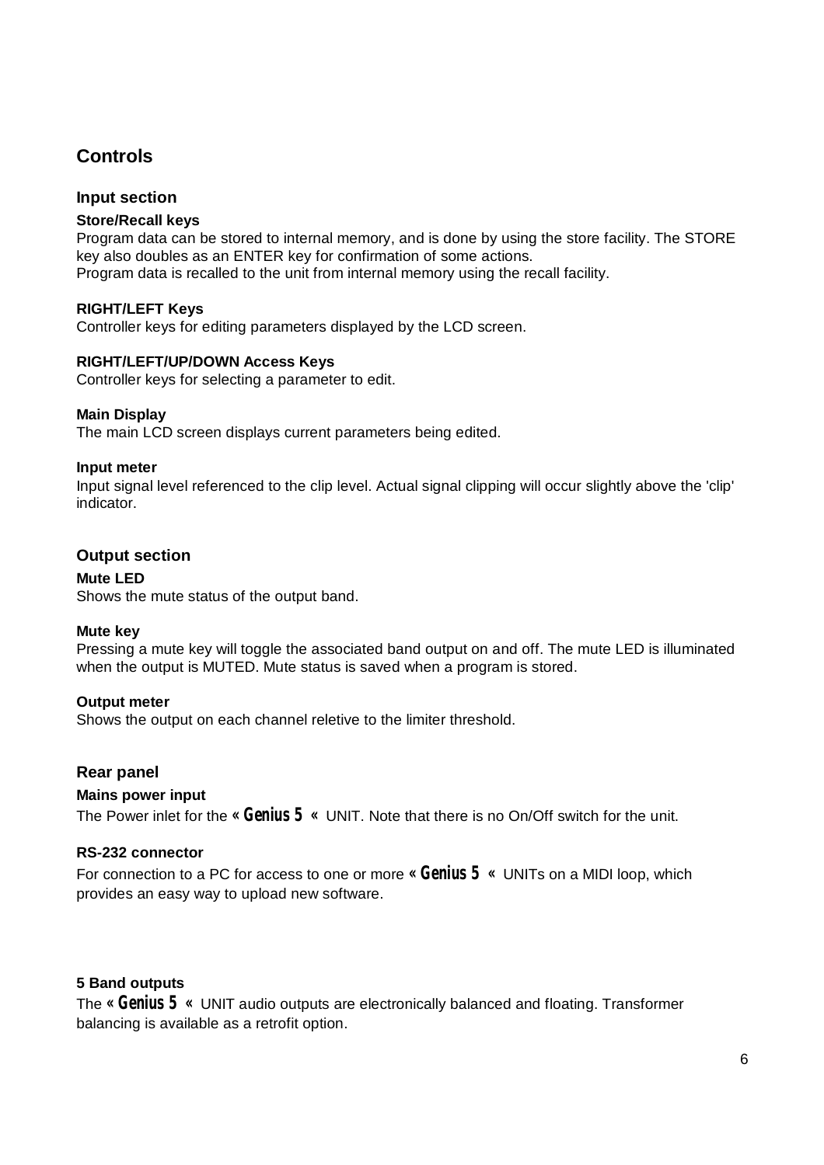## **Controls**

#### **Input section**

#### **Store/Recall keys**

Program data can be stored to internal memory, and is done by using the store facility. The STORE key also doubles as an ENTER key for confirmation of some actions. Program data is recalled to the unit from internal memory using the recall facility.

#### **RIGHT/LEFT Keys**

Controller keys for editing parameters displayed by the LCD screen.

#### **RIGHT/LEFT/UP/DOWN Access Keys**

Controller keys for selecting a parameter to edit.

#### **Main Display**

The main LCD screen displays current parameters being edited.

#### **Input meter**

Input signal level referenced to the clip level. Actual signal clipping will occur slightly above the 'clip' indicator.

#### **Output section**

#### **Mute LED**

Shows the mute status of the output band.

#### **Mute key**

Pressing a mute key will toggle the associated band output on and off. The mute LED is illuminated when the output is MUTED. Mute status is saved when a program is stored.

#### **Output meter**

Shows the output on each channel reletive to the limiter threshold.

#### **Rear panel**

#### **Mains power input**

The Power inlet for the **« Genius 5 «** UNIT. Note that there is no On/Off switch for the unit.

#### **RS-232 connector**

For connection to a PC for access to one or more **« Genius 5 «** UNITs on a MIDI loop, which provides an easy way to upload new software.

#### **5 Band outputs**

The **« Genius 5 «** UNIT audio outputs are electronically balanced and floating. Transformer balancing is available as a retrofit option.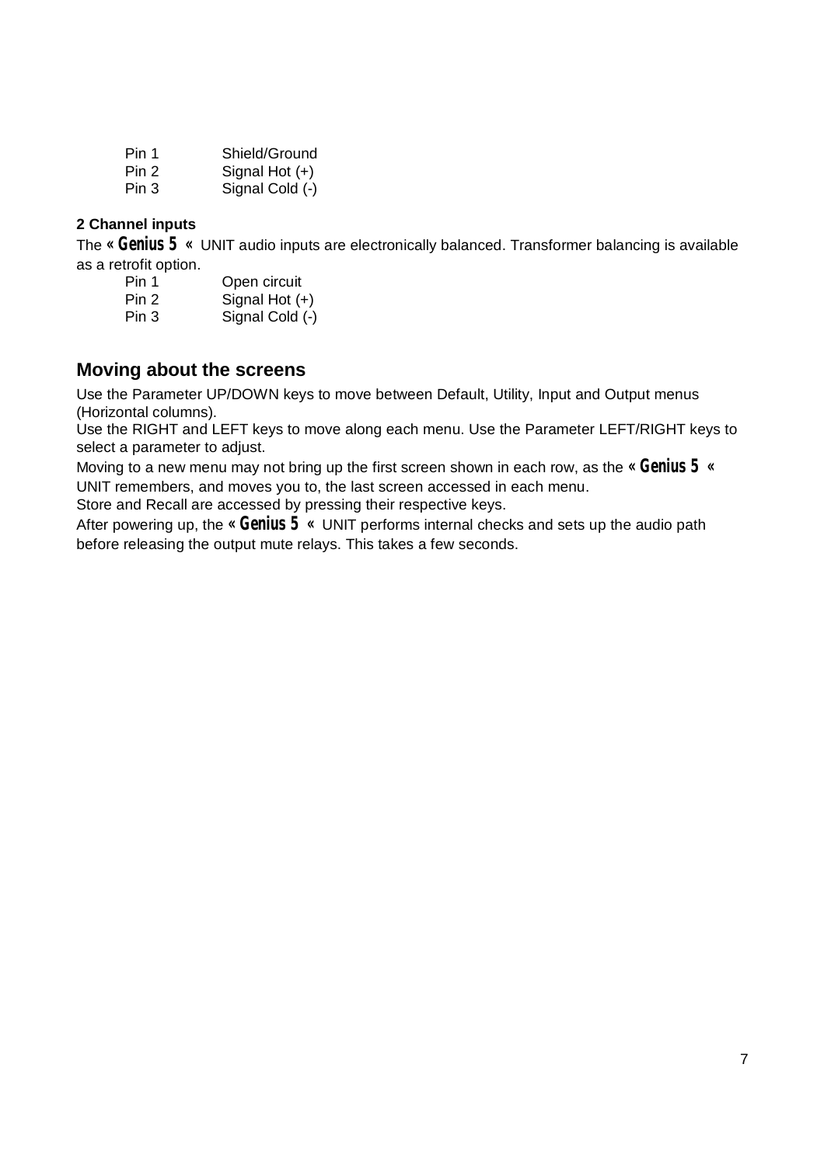| Pin 1 | Shield/Ground    |
|-------|------------------|
| Pin 2 | Signal Hot $(+)$ |
| Pin 3 | Signal Cold (-)  |

#### **2 Channel inputs**

The **« Genius 5 «** UNIT audio inputs are electronically balanced. Transformer balancing is available as a retrofit option.

| Pin 1 | Open circuit     |
|-------|------------------|
| Pin 2 | Signal Hot $(+)$ |
| Pin 3 | Signal Cold (-)  |

## **Moving about the screens**

Use the Parameter UP/DOWN keys to move between Default, Utility, Input and Output menus (Horizontal columns).

Use the RIGHT and LEFT keys to move along each menu. Use the Parameter LEFT/RIGHT keys to select a parameter to adjust.

Moving to a new menu may not bring up the first screen shown in each row, as the **« Genius 5 «** UNIT remembers, and moves you to, the last screen accessed in each menu.

Store and Recall are accessed by pressing their respective keys.

After powering up, the **« Genius 5 «** UNIT performs internal checks and sets up the audio path before releasing the output mute relays. This takes a few seconds.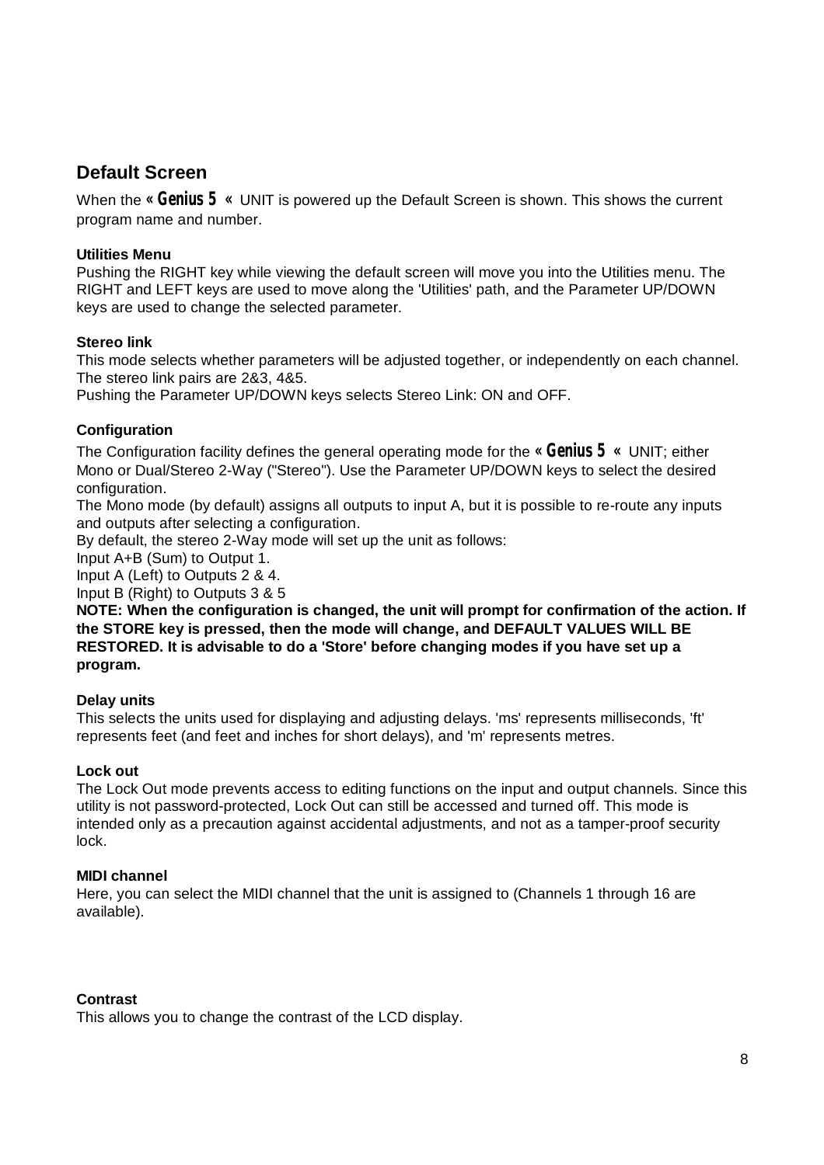## **Default Screen**

When the **« Genius 5 «** UNIT is powered up the Default Screen is shown. This shows the current program name and number.

#### **Utilities Menu**

Pushing the RIGHT key while viewing the default screen will move you into the Utilities menu. The RIGHT and LEFT keys are used to move along the 'Utilities' path, and the Parameter UP/DOWN keys are used to change the selected parameter.

#### **Stereo link**

This mode selects whether parameters will be adjusted together, or independently on each channel. The stereo link pairs are 2&3, 4&5.

Pushing the Parameter UP/DOWN keys selects Stereo Link: ON and OFF.

#### **Configuration**

The Configuration facility defines the general operating mode for the **« Genius 5 «** UNIT; either Mono or Dual/Stereo 2-Way ("Stereo"). Use the Parameter UP/DOWN keys to select the desired configuration.

The Mono mode (by default) assigns all outputs to input A, but it is possible to re-route any inputs and outputs after selecting a configuration.

By default, the stereo 2-Way mode will set up the unit as follows:

Input A+B (Sum) to Output 1.

Input A (Left) to Outputs 2 & 4.

Input B (Right) to Outputs 3 & 5

**NOTE: When the configuration is changed, the unit will prompt for confirmation of the action. If the STORE key is pressed, then the mode will change, and DEFAULT VALUES WILL BE RESTORED. It is advisable to do a 'Store' before changing modes if you have set up a program.**

#### **Delay units**

This selects the units used for displaying and adjusting delays. 'ms' represents milliseconds, 'ft' represents feet (and feet and inches for short delays), and 'm' represents metres.

#### **Lock out**

The Lock Out mode prevents access to editing functions on the input and output channels. Since this utility is not password-protected, Lock Out can still be accessed and turned off. This mode is intended only as a precaution against accidental adjustments, and not as a tamper-proof security lock.

#### **MIDI channel**

Here, you can select the MIDI channel that the unit is assigned to (Channels 1 through 16 are available).

#### **Contrast**

This allows you to change the contrast of the LCD display.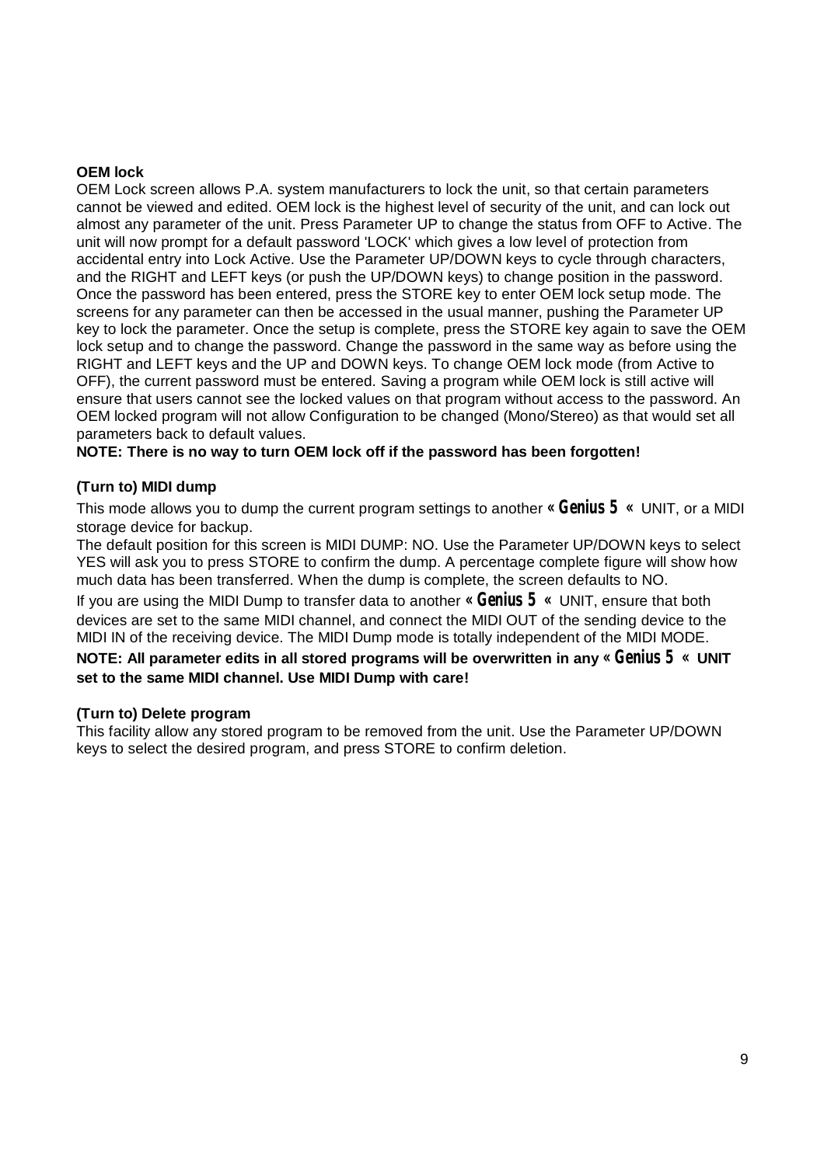#### **OEM lock**

OEM Lock screen allows P.A. system manufacturers to lock the unit, so that certain parameters cannot be viewed and edited. OEM lock is the highest level of security of the unit, and can lock out almost any parameter of the unit. Press Parameter UP to change the status from OFF to Active. The unit will now prompt for a default password 'LOCK' which gives a low level of protection from accidental entry into Lock Active. Use the Parameter UP/DOWN keys to cycle through characters, and the RIGHT and LEFT keys (or push the UP/DOWN keys) to change position in the password. Once the password has been entered, press the STORE key to enter OEM lock setup mode. The screens for any parameter can then be accessed in the usual manner, pushing the Parameter UP key to lock the parameter. Once the setup is complete, press the STORE key again to save the OEM lock setup and to change the password. Change the password in the same way as before using the RIGHT and LEFT keys and the UP and DOWN keys. To change OEM lock mode (from Active to OFF), the current password must be entered. Saving a program while OEM lock is still active will ensure that users cannot see the locked values on that program without access to the password. An OEM locked program will not allow Configuration to be changed (Mono/Stereo) as that would set all parameters back to default values.

**NOTE: There is no way to turn OEM lock off if the password has been forgotten!** 

#### **(Turn to) MIDI dump**

This mode allows you to dump the current program settings to another **« Genius 5 «** UNIT, or a MIDI storage device for backup.

The default position for this screen is MIDI DUMP: NO. Use the Parameter UP/DOWN keys to select YES will ask you to press STORE to confirm the dump. A percentage complete figure will show how much data has been transferred. When the dump is complete, the screen defaults to NO.

If you are using the MIDI Dump to transfer data to another **« Genius 5 «** UNIT, ensure that both devices are set to the same MIDI channel, and connect the MIDI OUT of the sending device to the MIDI IN of the receiving device. The MIDI Dump mode is totally independent of the MIDI MODE.

#### **NOTE: All parameter edits in all stored programs will be overwritten in any « Genius 5 « UNIT set to the same MIDI channel. Use MIDI Dump with care!**

#### **(Turn to) Delete program**

This facility allow any stored program to be removed from the unit. Use the Parameter UP/DOWN keys to select the desired program, and press STORE to confirm deletion.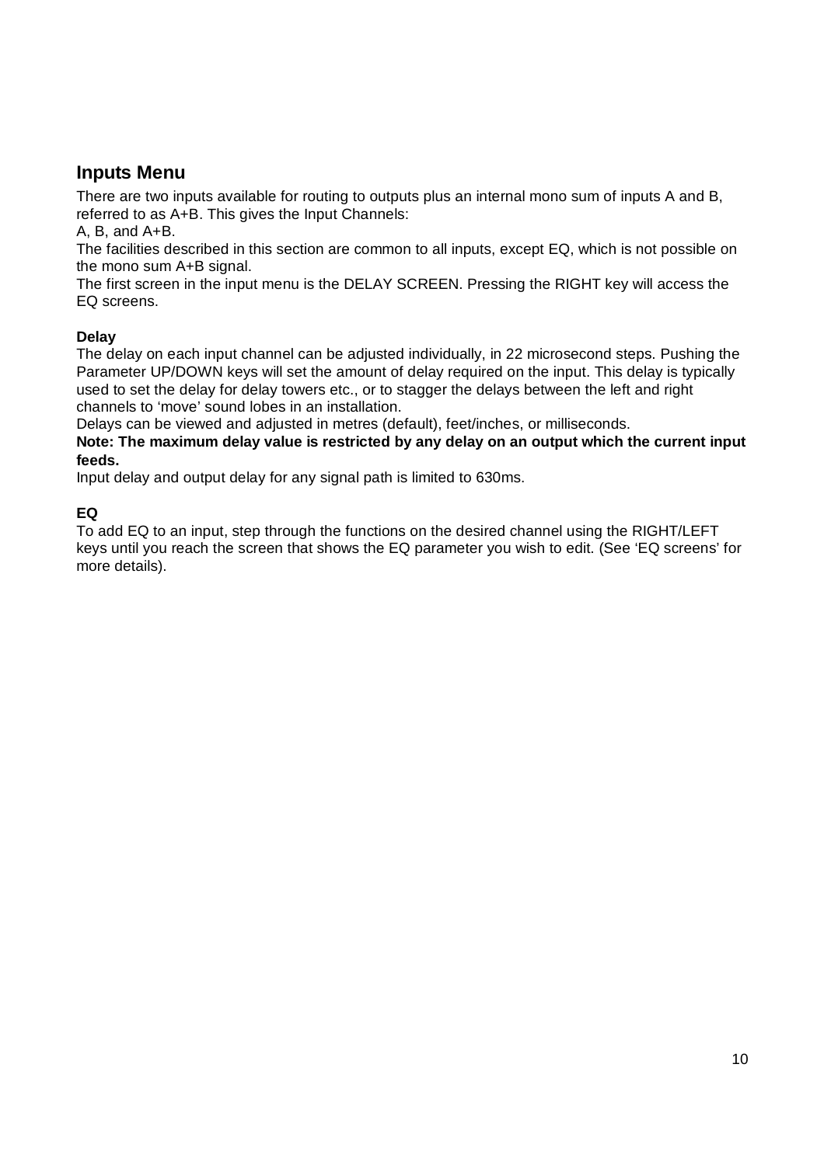## **Inputs Menu**

There are two inputs available for routing to outputs plus an internal mono sum of inputs A and B, referred to as A+B. This gives the Input Channels:

A, B, and A+B.

The facilities described in this section are common to all inputs, except EQ, which is not possible on the mono sum A+B signal.

The first screen in the input menu is the DELAY SCREEN. Pressing the RIGHT key will access the EQ screens.

#### **Delay**

The delay on each input channel can be adjusted individually, in 22 microsecond steps. Pushing the Parameter UP/DOWN keys will set the amount of delay required on the input. This delay is typically used to set the delay for delay towers etc., or to stagger the delays between the left and right channels to 'move' sound lobes in an installation.

Delays can be viewed and adjusted in metres (default), feet/inches, or milliseconds.

**Note: The maximum delay value is restricted by any delay on an output which the current input feeds.**

Input delay and output delay for any signal path is limited to 630ms.

#### **EQ**

To add EQ to an input, step through the functions on the desired channel using the RIGHT/LEFT keys until you reach the screen that shows the EQ parameter you wish to edit. (See 'EQ screens' for more details).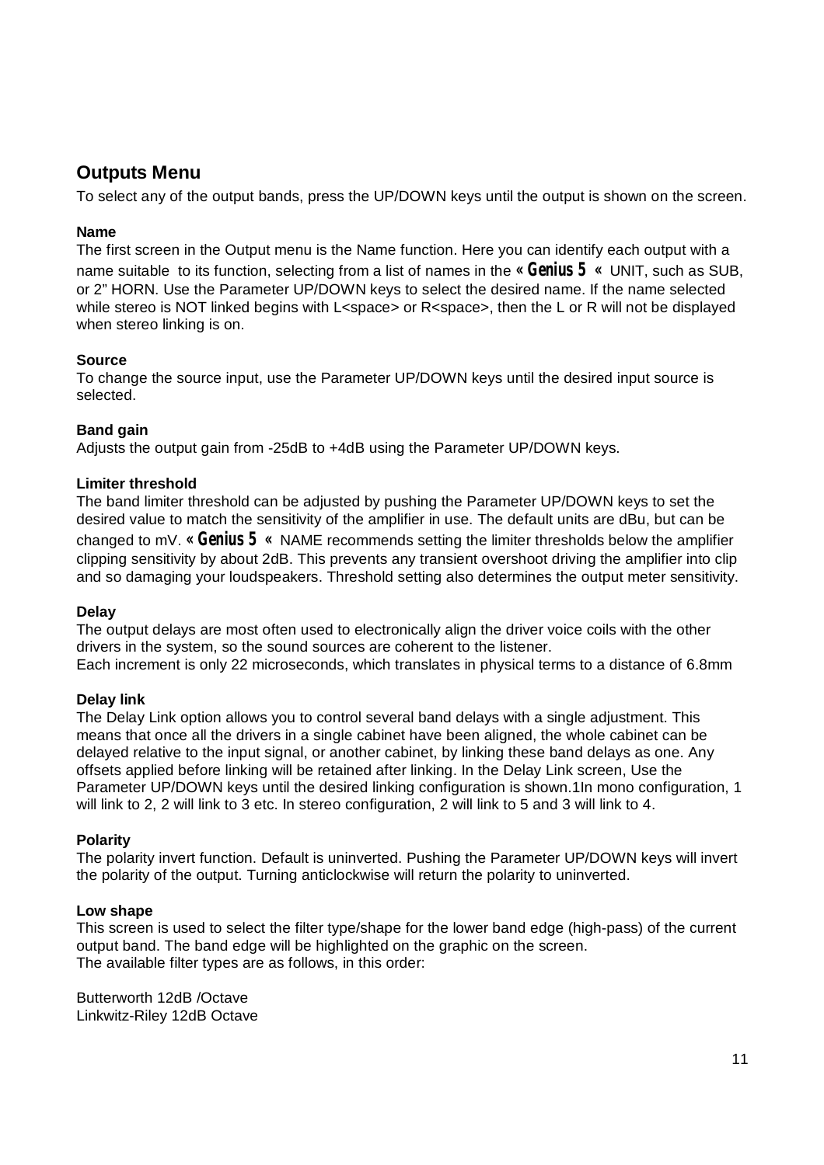## **Outputs Menu**

To select any of the output bands, press the UP/DOWN keys until the output is shown on the screen.

#### **Name**

The first screen in the Output menu is the Name function. Here you can identify each output with a name suitable to its function, selecting from a list of names in the **« Genius 5 «** UNIT, such as SUB, or 2" HORN. Use the Parameter UP/DOWN keys to select the desired name. If the name selected while stereo is NOT linked begins with L<space> or R<space>, then the L or R will not be displayed when stereo linking is on.

#### **Source**

To change the source input, use the Parameter UP/DOWN keys until the desired input source is selected.

#### **Band gain**

Adjusts the output gain from -25dB to +4dB using the Parameter UP/DOWN keys.

#### **Limiter threshold**

The band limiter threshold can be adjusted by pushing the Parameter UP/DOWN keys to set the desired value to match the sensitivity of the amplifier in use. The default units are dBu, but can be changed to mV. **« Genius 5 «** NAME recommends setting the limiter thresholds below the amplifier clipping sensitivity by about 2dB. This prevents any transient overshoot driving the amplifier into clip and so damaging your loudspeakers. Threshold setting also determines the output meter sensitivity.

#### **Delay**

The output delays are most often used to electronically align the driver voice coils with the other drivers in the system, so the sound sources are coherent to the listener. Each increment is only 22 microseconds, which translates in physical terms to a distance of 6.8mm

#### **Delay link**

The Delay Link option allows you to control several band delays with a single adjustment. This means that once all the drivers in a single cabinet have been aligned, the whole cabinet can be delayed relative to the input signal, or another cabinet, by linking these band delays as one. Any offsets applied before linking will be retained after linking. In the Delay Link screen, Use the Parameter UP/DOWN keys until the desired linking configuration is shown.1In mono configuration, 1 will link to 2, 2 will link to 3 etc. In stereo configuration, 2 will link to 5 and 3 will link to 4.

#### **Polarity**

The polarity invert function. Default is uninverted. Pushing the Parameter UP/DOWN keys will invert the polarity of the output. Turning anticlockwise will return the polarity to uninverted.

#### **Low shape**

This screen is used to select the filter type/shape for the lower band edge (high-pass) of the current output band. The band edge will be highlighted on the graphic on the screen. The available filter types are as follows, in this order:

Butterworth 12dB /Octave Linkwitz-Riley 12dB Octave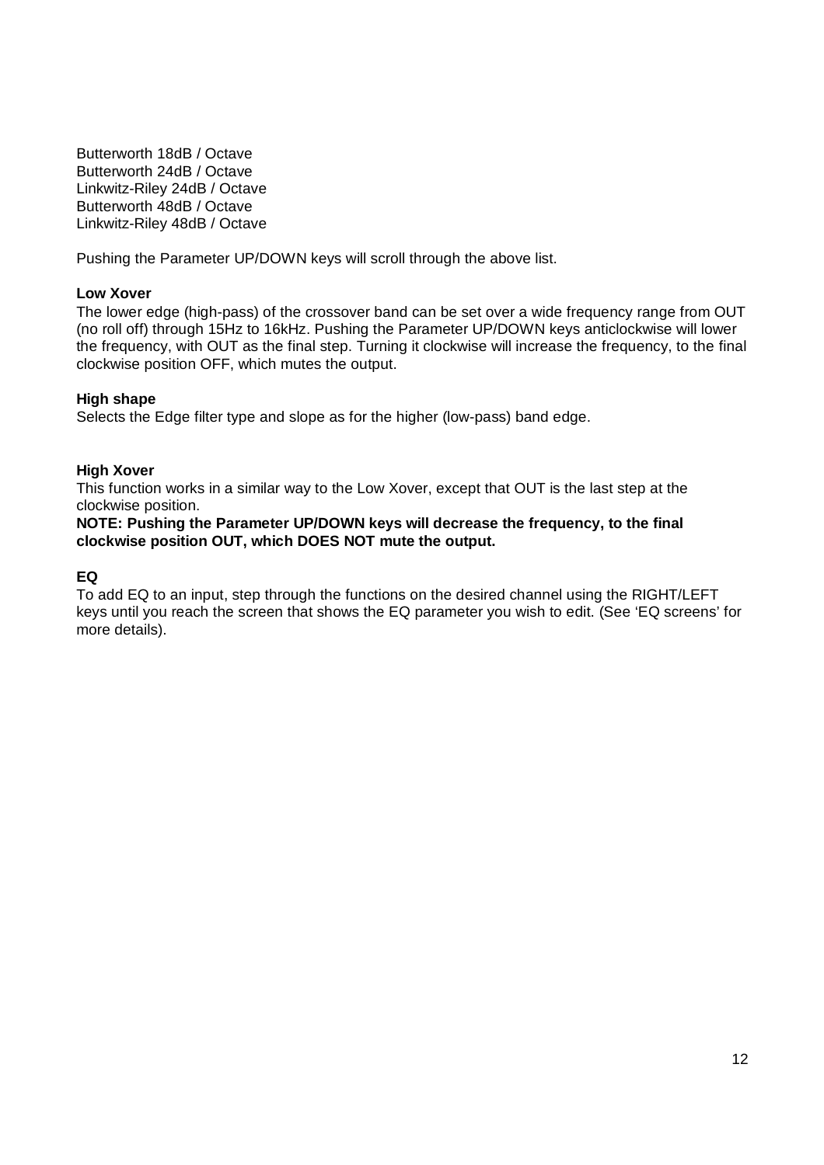Butterworth 18dB / Octave Butterworth 24dB / Octave Linkwitz-Riley 24dB / Octave Butterworth 48dB / Octave Linkwitz-Riley 48dB / Octave

Pushing the Parameter UP/DOWN keys will scroll through the above list.

#### **Low Xover**

The lower edge (high-pass) of the crossover band can be set over a wide frequency range from OUT (no roll off) through 15Hz to 16kHz. Pushing the Parameter UP/DOWN keys anticlockwise will lower the frequency, with OUT as the final step. Turning it clockwise will increase the frequency, to the final clockwise position OFF, which mutes the output.

#### **High shape**

Selects the Edge filter type and slope as for the higher (low-pass) band edge.

#### **High Xover**

This function works in a similar way to the Low Xover, except that OUT is the last step at the clockwise position.

#### **NOTE: Pushing the Parameter UP/DOWN keys will decrease the frequency, to the final clockwise position OUT, which DOES NOT mute the output.**

#### **EQ**

To add EQ to an input, step through the functions on the desired channel using the RIGHT/LEFT keys until you reach the screen that shows the EQ parameter you wish to edit. (See 'EQ screens' for more details).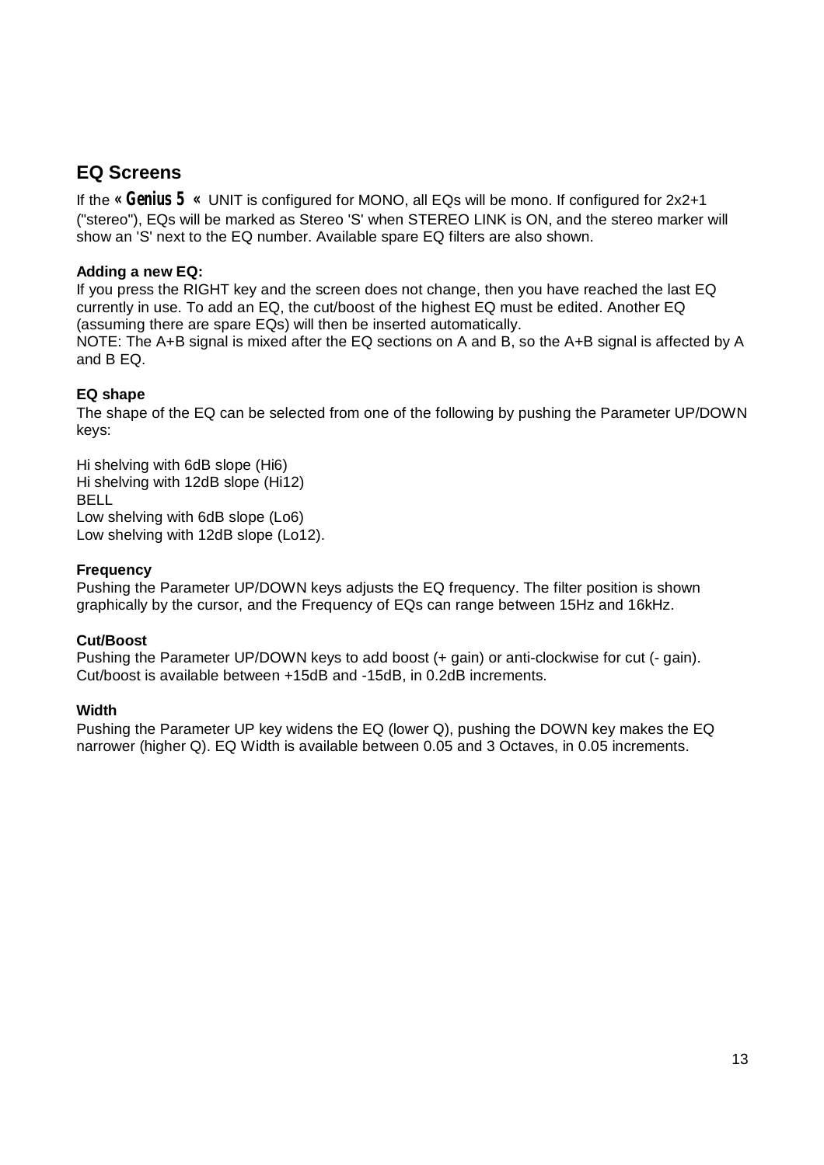## **EQ Screens**

If the **« Genius 5 «** UNIT is configured for MONO, all EQs will be mono. If configured for 2x2+1 ("stereo"), EQs will be marked as Stereo 'S' when STEREO LINK is ON, and the stereo marker will show an 'S' next to the EQ number. Available spare EQ filters are also shown.

#### **Adding a new EQ:**

If you press the RIGHT key and the screen does not change, then you have reached the last EQ currently in use. To add an EQ, the cut/boost of the highest EQ must be edited. Another EQ (assuming there are spare EQs) will then be inserted automatically. NOTE: The A+B signal is mixed after the EQ sections on A and B, so the A+B signal is affected by A

and B EQ.

#### **EQ shape**

The shape of the EQ can be selected from one of the following by pushing the Parameter UP/DOWN keys:

Hi shelving with 6dB slope (Hi6) Hi shelving with 12dB slope (Hi12) BELL Low shelving with 6dB slope (Lo6) Low shelving with 12dB slope (Lo12).

#### **Frequency**

Pushing the Parameter UP/DOWN keys adjusts the EQ frequency. The filter position is shown graphically by the cursor, and the Frequency of EQs can range between 15Hz and 16kHz.

#### **Cut/Boost**

Pushing the Parameter UP/DOWN keys to add boost (+ gain) or anti-clockwise for cut (- gain). Cut/boost is available between +15dB and -15dB, in 0.2dB increments.

#### **Width**

Pushing the Parameter UP key widens the EQ (lower Q), pushing the DOWN key makes the EQ narrower (higher Q). EQ Width is available between 0.05 and 3 Octaves, in 0.05 increments.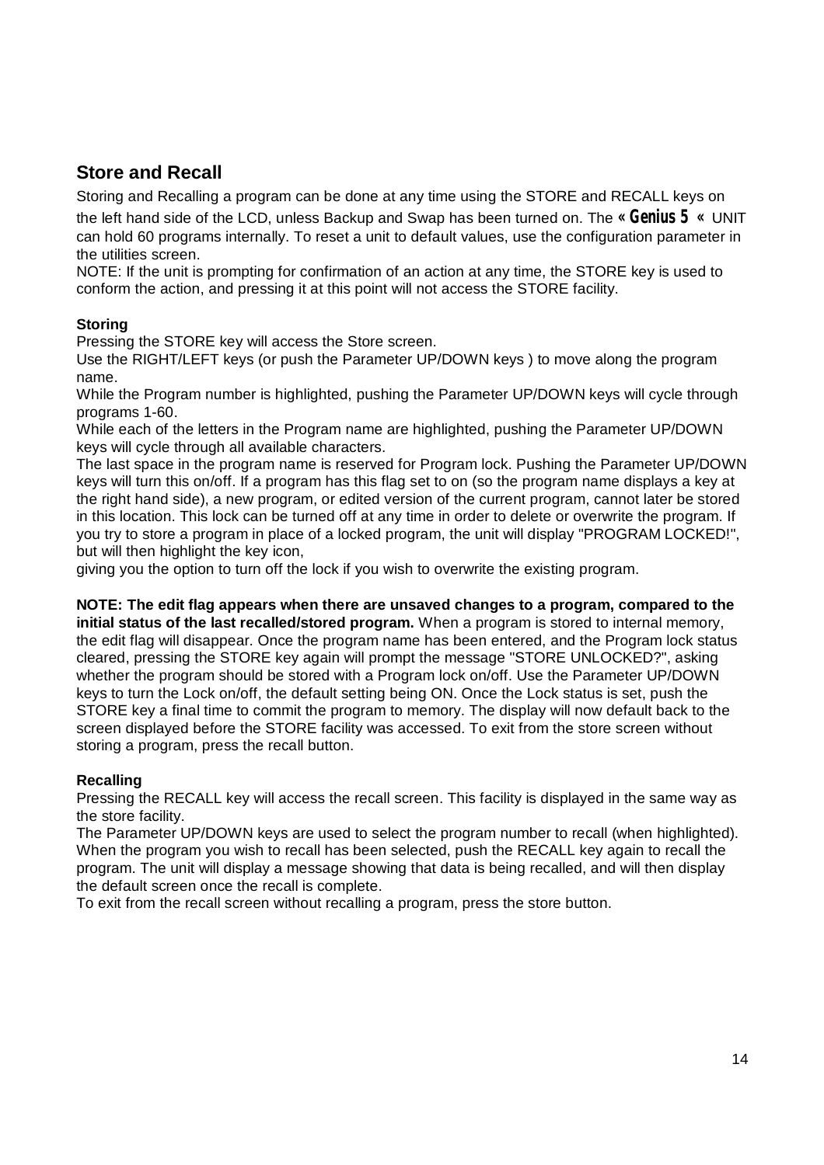## **Store and Recall**

Storing and Recalling a program can be done at any time using the STORE and RECALL keys on the left hand side of the LCD, unless Backup and Swap has been turned on. The **« Genius 5 «** UNIT can hold 60 programs internally. To reset a unit to default values, use the configuration parameter in the utilities screen.

NOTE: If the unit is prompting for confirmation of an action at any time, the STORE key is used to conform the action, and pressing it at this point will not access the STORE facility.

#### **Storing**

Pressing the STORE key will access the Store screen.

Use the RIGHT/LEFT keys (or push the Parameter UP/DOWN keys ) to move along the program name.

While the Program number is highlighted, pushing the Parameter UP/DOWN keys will cycle through programs 1-60.

While each of the letters in the Program name are highlighted, pushing the Parameter UP/DOWN keys will cycle through all available characters.

The last space in the program name is reserved for Program lock. Pushing the Parameter UP/DOWN keys will turn this on/off. If a program has this flag set to on (so the program name displays a key at the right hand side), a new program, or edited version of the current program, cannot later be stored in this location. This lock can be turned off at any time in order to delete or overwrite the program. If you try to store a program in place of a locked program, the unit will display "PROGRAM LOCKED!", but will then highlight the key icon,

giving you the option to turn off the lock if you wish to overwrite the existing program.

# **NOTE: The edit flag appears when there are unsaved changes to a program, compared to the**

**initial status of the last recalled/stored program.** When a program is stored to internal memory, the edit flag will disappear. Once the program name has been entered, and the Program lock status cleared, pressing the STORE key again will prompt the message "STORE UNLOCKED?", asking whether the program should be stored with a Program lock on/off. Use the Parameter UP/DOWN keys to turn the Lock on/off, the default setting being ON. Once the Lock status is set, push the STORE key a final time to commit the program to memory. The display will now default back to the screen displayed before the STORE facility was accessed. To exit from the store screen without storing a program, press the recall button.

#### **Recalling**

Pressing the RECALL key will access the recall screen. This facility is displayed in the same way as the store facility.

The Parameter UP/DOWN keys are used to select the program number to recall (when highlighted). When the program you wish to recall has been selected, push the RECALL key again to recall the program. The unit will display a message showing that data is being recalled, and will then display the default screen once the recall is complete.

To exit from the recall screen without recalling a program, press the store button.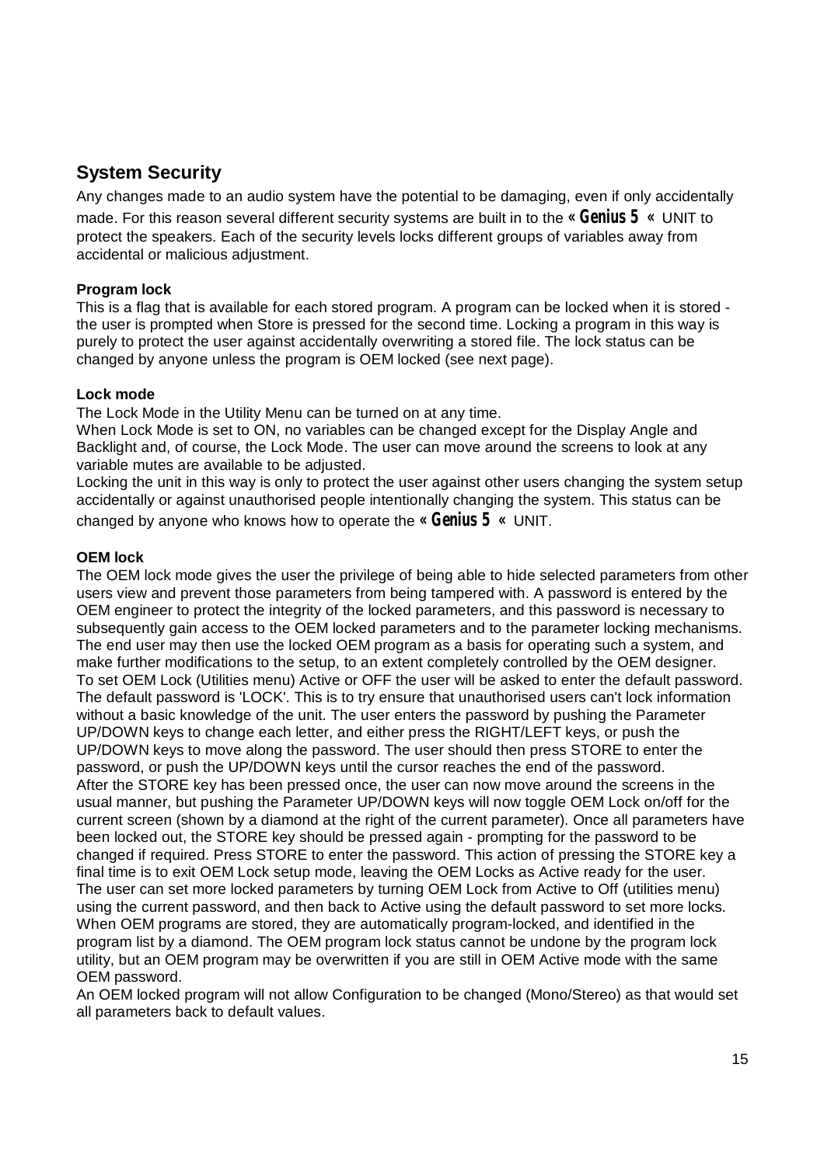## **System Security**

Any changes made to an audio system have the potential to be damaging, even if only accidentally made. For this reason several different security systems are built in to the **« Genius 5 «** UNIT to protect the speakers. Each of the security levels locks different groups of variables away from accidental or malicious adjustment.

#### **Program lock**

This is a flag that is available for each stored program. A program can be locked when it is stored the user is prompted when Store is pressed for the second time. Locking a program in this way is purely to protect the user against accidentally overwriting a stored file. The lock status can be changed by anyone unless the program is OEM locked (see next page).

#### **Lock mode**

The Lock Mode in the Utility Menu can be turned on at any time.

When Lock Mode is set to ON, no variables can be changed except for the Display Angle and Backlight and, of course, the Lock Mode. The user can move around the screens to look at any variable mutes are available to be adjusted.

Locking the unit in this way is only to protect the user against other users changing the system setup accidentally or against unauthorised people intentionally changing the system. This status can be changed by anyone who knows how to operate the **« Genius 5 «** UNIT.

#### **OEM lock**

The OEM lock mode gives the user the privilege of being able to hide selected parameters from other users view and prevent those parameters from being tampered with. A password is entered by the OEM engineer to protect the integrity of the locked parameters, and this password is necessary to subsequently gain access to the OEM locked parameters and to the parameter locking mechanisms. The end user may then use the locked OEM program as a basis for operating such a system, and make further modifications to the setup, to an extent completely controlled by the OEM designer. To set OEM Lock (Utilities menu) Active or OFF the user will be asked to enter the default password. The default password is 'LOCK'. This is to try ensure that unauthorised users can't lock information without a basic knowledge of the unit. The user enters the password by pushing the Parameter UP/DOWN keys to change each letter, and either press the RIGHT/LEFT keys, or push the UP/DOWN keys to move along the password. The user should then press STORE to enter the password, or push the UP/DOWN keys until the cursor reaches the end of the password. After the STORE key has been pressed once, the user can now move around the screens in the usual manner, but pushing the Parameter UP/DOWN keys will now toggle OEM Lock on/off for the current screen (shown by a diamond at the right of the current parameter). Once all parameters have been locked out, the STORE key should be pressed again - prompting for the password to be changed if required. Press STORE to enter the password. This action of pressing the STORE key a final time is to exit OEM Lock setup mode, leaving the OEM Locks as Active ready for the user. The user can set more locked parameters by turning OEM Lock from Active to Off (utilities menu) using the current password, and then back to Active using the default password to set more locks. When OEM programs are stored, they are automatically program-locked, and identified in the program list by a diamond. The OEM program lock status cannot be undone by the program lock utility, but an OEM program may be overwritten if you are still in OEM Active mode with the same OEM password.

An OEM locked program will not allow Configuration to be changed (Mono/Stereo) as that would set all parameters back to default values.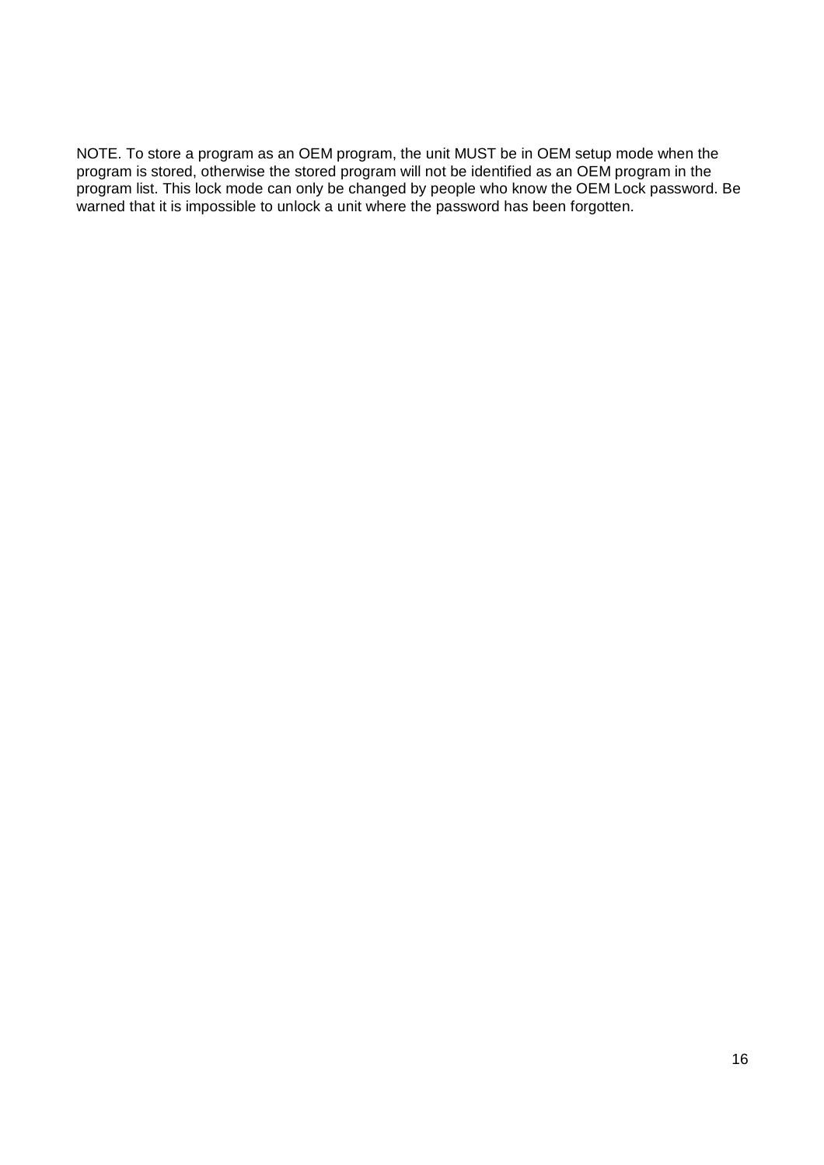NOTE. To store a program as an OEM program, the unit MUST be in OEM setup mode when the program is stored, otherwise the stored program will not be identified as an OEM program in the program list. This lock mode can only be changed by people who know the OEM Lock password. Be warned that it is impossible to unlock a unit where the password has been forgotten.